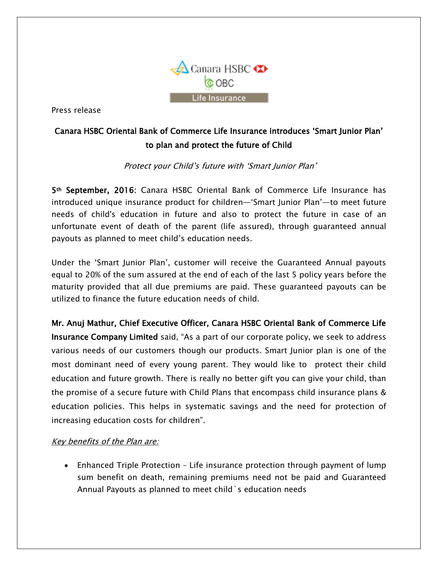

Press release

## Canara HSBC Oriental Bank of Commerce Life Insurance introduces 'Smart Junior Plan' to plan and protect the future of Child

#### Protect your Child's future with 'Smart Junior Plan'

5th September, 2016: Canara HSBC Oriental Bank of Commerce Life Insurance has introduced unique insurance product for children—'Smart Junior Plan'—to meet future needs of child's education in future and also to protect the future in case of an unfortunate event of death of the parent (life assured), through guaranteed annual payouts as planned to meet child's education needs.

Under the 'Smart Junior Plan', customer will receive the Guaranteed Annual payouts equal to 20% of the sum assured at the end of each of the last 5 policy years before the maturity provided that all due premiums are paid. These guaranteed payouts can be utilized to finance the future education needs of child.

Mr. Anuj Mathur, Chief Executive Officer, Canara HSBC Oriental Bank of Commerce Life Insurance Company Limited said, "As a part of our corporate policy, we seek to address various needs of our customers though our products. Smart Junior plan is one of the most dominant need of every young parent. They would like to protect their child education and future growth. There is really no better gift you can give your child, than the promise of a secure future with Child Plans that encompass child insurance plans & education policies. This helps in systematic savings and the need for protection of increasing education costs for children".

#### Key benefits of the Plan are:

 Enhanced Triple Protection – Life insurance protection through payment of lump sum benefit on death, remaining premiums need not be paid and Guaranteed Annual Payouts as planned to meet child`s education needs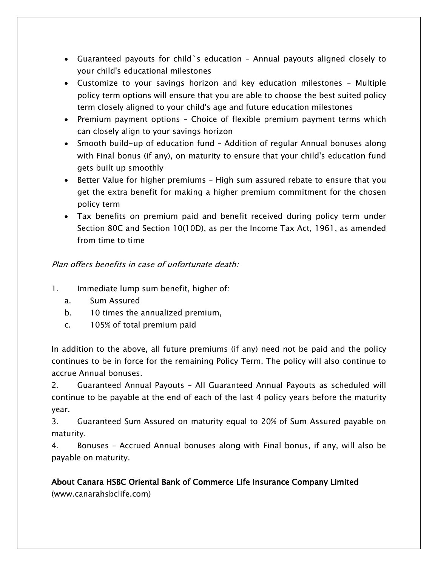- Guaranteed payouts for child`s education Annual payouts aligned closely to your child's educational milestones
- Customize to your savings horizon and key education milestones Multiple policy term options will ensure that you are able to choose the best suited policy term closely aligned to your child's age and future education milestones
- Premium payment options Choice of flexible premium payment terms which can closely align to your savings horizon
- Smooth build-up of education fund Addition of regular Annual bonuses along with Final bonus (if any), on maturity to ensure that your child's education fund gets built up smoothly
- Better Value for higher premiums High sum assured rebate to ensure that you get the extra benefit for making a higher premium commitment for the chosen policy term
- Tax benefits on premium paid and benefit received during policy term under Section 80C and Section 10(10D), as per the Income Tax Act, 1961, as amended from time to time

### Plan offers benefits in case of unfortunate death:

- 1. Immediate lump sum benefit, higher of:
	- a. Sum Assured
	- b. 10 times the annualized premium,
	- c. 105% of total premium paid

In addition to the above, all future premiums (if any) need not be paid and the policy continues to be in force for the remaining Policy Term. The policy will also continue to accrue Annual bonuses.

2. Guaranteed Annual Payouts – All Guaranteed Annual Payouts as scheduled will continue to be payable at the end of each of the last 4 policy years before the maturity year.

3. Guaranteed Sum Assured on maturity equal to 20% of Sum Assured payable on maturity.

4. Bonuses – Accrued Annual bonuses along with Final bonus, if any, will also be payable on maturity.

# About Canara HSBC Oriental Bank of Commerce Life Insurance Company Limited

(www.canarahsbclife.com)